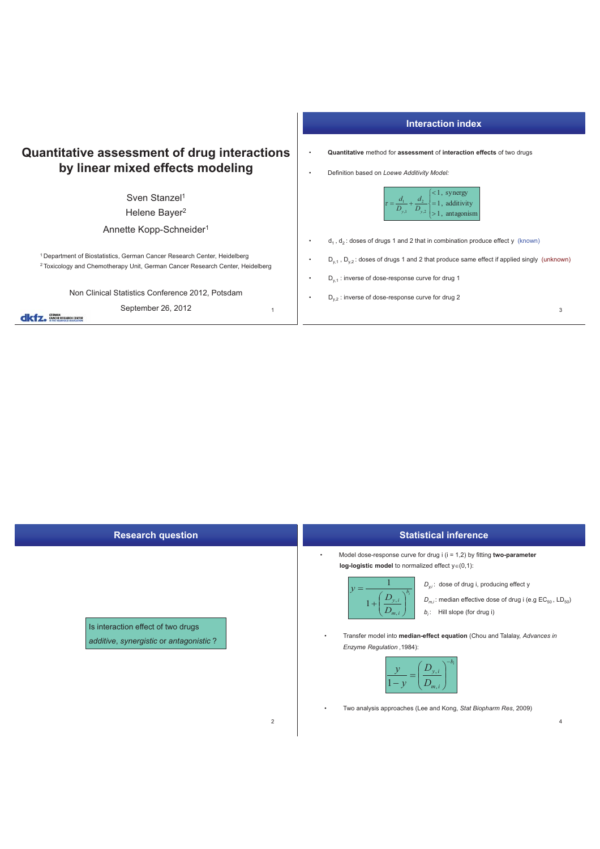| <b>Quantitative assessment of drug interactions</b><br>by linear mixed effects modeling                                                                                         |  | Quantitative method for assessment of int<br>Definition based on Loewe Additivity Model:                |
|---------------------------------------------------------------------------------------------------------------------------------------------------------------------------------|--|---------------------------------------------------------------------------------------------------------|
| Sven Stanzel <sup>1</sup><br>Helene Bayer <sup>2</sup>                                                                                                                          |  | $<1, s$<br>= 1, a<br>> 1, a<br>$\tau = \frac{d_1}{D_{y,1}} + \frac{d_2}{D_{y,2}}$                       |
| Annette Kopp-Schneider <sup>1</sup>                                                                                                                                             |  | $d_1$ , $d_2$ : doses of drugs 1 and 2 that in comb                                                     |
| <sup>1</sup> Department of Biostatistics, German Cancer Research Center, Heidelberg<br><sup>2</sup> Toxicology and Chemotherapy Unit, German Cancer Research Center, Heidelberg |  | $D_{v,1}$ , $D_{v,2}$ : doses of drugs 1 and 2 that prod                                                |
| Non Clinical Statistics Conference 2012, Potsdam                                                                                                                                |  | $D_{v,1}$ : inverse of dose-response curve for dru<br>$D_{v2}$ : inverse of dose-response curve for dru |
| September 26, 2012                                                                                                                                                              |  |                                                                                                         |

## **Interaction index**

- **finteraction effects** of two drugs
- 



- $\mathsf{subination}\$  produce effect y (known)
- roduce same effect if applied singly (unknown)

3

- r drug 1
- · drug 2

| <b>Research question</b>                                                                       | <b>Statistical inference</b>                                                                                                                                                                                                                                                                                                                                                                                                                                                                                                                         |
|------------------------------------------------------------------------------------------------|------------------------------------------------------------------------------------------------------------------------------------------------------------------------------------------------------------------------------------------------------------------------------------------------------------------------------------------------------------------------------------------------------------------------------------------------------------------------------------------------------------------------------------------------------|
| Is interaction effect of two drugs<br>additive, synergistic or antagonistic?<br>$\overline{c}$ | Model dose-response curve for drug $i$ ( $i = 1,2$ ) by fitting two-parameter<br>$\bullet$<br>log-logistic model to normalized effect $y \in (0,1)$ :<br>$D_{vi}$ : dose of drug i, producing effect y<br>$D_{y,i}$<br>$D_{m,i}$ : median effective dose of drug i (e.g EC <sub>50</sub> , LD <sub>50</sub> )<br>$b_i$ : Hill slope (for drug i)<br>Transfer model into median-effect equation (Chou and Talalay, Advances in<br>$\bullet$<br>Enzyme Regulation, 1984):<br>Two analysis approaches (Lee and Kong, Stat Biopharm Res, 2009)<br>٠<br>4 |
|                                                                                                |                                                                                                                                                                                                                                                                                                                                                                                                                                                                                                                                                      |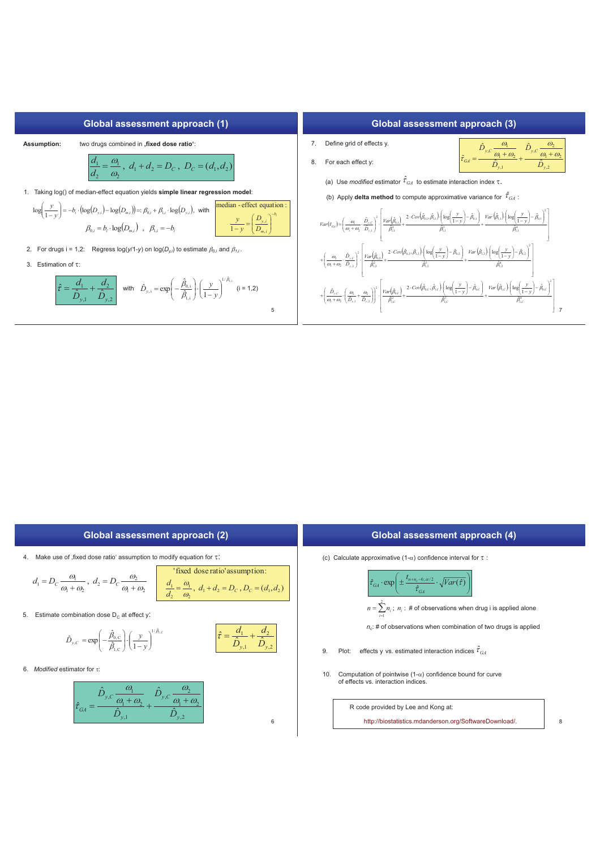

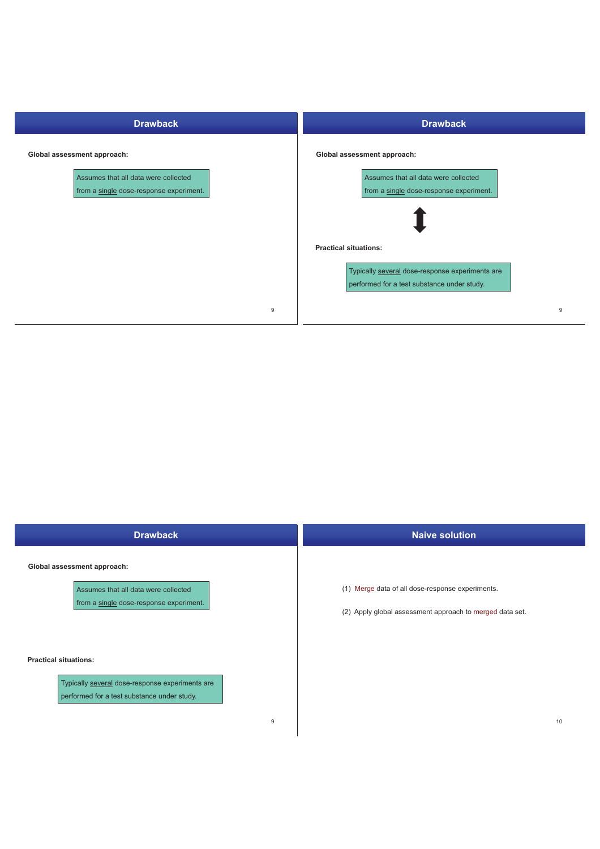| <b>Drawback</b>                                                                 | <b>Drawback</b>                                                                                                                |
|---------------------------------------------------------------------------------|--------------------------------------------------------------------------------------------------------------------------------|
| Global assessment approach:                                                     | Global assessment approach:                                                                                                    |
| Assumes that all data were collected<br>from a single dose-response experiment. | Assumes that all data were collected<br>from a single dose-response experiment.                                                |
|                                                                                 | <b>Practical situations:</b><br>Typically several dose-response experiments are<br>performed for a test substance under study. |
| 9                                                                               | 9                                                                                                                              |

| <b>Drawback</b>                                                                                                                                | <b>Naive solution</b>                                                                                        |
|------------------------------------------------------------------------------------------------------------------------------------------------|--------------------------------------------------------------------------------------------------------------|
| Global assessment approach:<br>Assumes that all data were collected<br>from a single dose-response experiment.<br><b>Practical situations:</b> | (1) Merge data of all dose-response experiments.<br>(2) Apply global assessment approach to merged data set. |
| Typically several dose-response experiments are<br>performed for a test substance under study.<br>9                                            | 10                                                                                                           |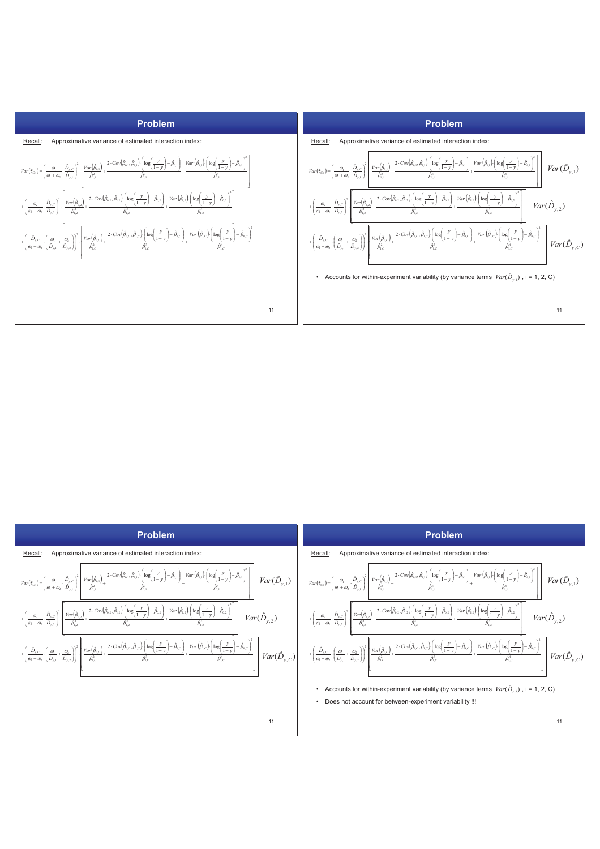

| Problem                                                                                                                                                                                                                                                                                                                                                                                                                                                                                                                                                        | <b>Problem</b>                                                                                                                                                                                                                                                                                                                                                                                                                                                                           |
|----------------------------------------------------------------------------------------------------------------------------------------------------------------------------------------------------------------------------------------------------------------------------------------------------------------------------------------------------------------------------------------------------------------------------------------------------------------------------------------------------------------------------------------------------------------|------------------------------------------------------------------------------------------------------------------------------------------------------------------------------------------------------------------------------------------------------------------------------------------------------------------------------------------------------------------------------------------------------------------------------------------------------------------------------------------|
| Recall:<br>Approximative variance of estimated interaction index:                                                                                                                                                                                                                                                                                                                                                                                                                                                                                              | Approximative variance of estimated interaction index:<br>Recall:                                                                                                                                                                                                                                                                                                                                                                                                                        |
| $2\left\ \frac{Var\left(\hat{\beta}_{0,1}\right)}{\hat{\beta}_{2}}+\frac{2\cdot Cov\left(\hat{\beta}_{0,1},\hat{\beta}_{1,1}\right)\left[\log\left(\frac{y}{1-y}\right)-\hat{\beta}_{0,1}\right]}{\hat{\beta}_{2}}+\frac{Var\left(\hat{\beta}_{1,1}\right)\left[\log\left(\frac{y}{1-y}\right)-\hat{\beta}_{0,1}\right]}{\frac{\hat{\beta}_{2}}{\hat{\beta}_{1}}}\right\ $<br>$Var(\hat{D}_{y,1})$<br>$Var(\hat{\tau}_{GA}) = \left(\frac{\omega_1}{\omega_1 + \omega_2} \cdot \frac{\hat{D}_{y,C}}{\hat{D}_{y,1}}\right)^2$                                   | $Var(\hat{D}_{y,1})$                                                                                                                                                                                                                                                                                                                                                                                                                                                                     |
| $\int \frac{Var(\hat{\beta}_{1,2})}{1-y} \log \left( \frac{y}{1-y} \right) - \hat{\beta}_{0,2}$<br>$\frac{1}{2}\left[\frac{Var(\hat{\beta}_{0,2})}{Var(\hat{\beta}_{0,2})}+\frac{2\cdot Cov(\hat{\beta}_{0,2},\hat{\beta}_{1,2})\cdot \left(\log(\frac{y}{1-y})-\hat{\beta}_{0,2}\right)}{2}\right]$<br>$Var(\hat{D}_{y,2})$                                                                                                                                                                                                                                   | $\begin{array}{ c c } \hline \rule{0mm}{1.1mm} & + \Bigg( \frac{\partial_2}{\partial_1+\alpha_2} \cdot \frac{\hat D_{y,\mathcal{L}}}{\hat D_{y,2}} \Bigg)^2 \cdot \Bigg[ \frac{Var\big(\hat{\beta}_{0,2}\big)}{\hat{\beta}_{1,2}^2} + \frac{2 \cdot Cov\big(\hat{\beta}_{0,2},\hat{\beta}_{1,2}\big)\bigg( \log\bigg(\frac{y}{1-y}\bigg) - \hat{\beta}_{0,2} \bigg)}{\hat{\beta}_{1,2}^3} + \frac{Var\big(\hat{\beta}_{1,2}\big)\bigg( \log\bigg(\frac{y}{1-y}\$<br>$Var(\hat{D}_{v,2})$ |
| $\left. + \left(\frac{\hat{\underline{\partial}}_{y,c}}{\underline{\alpha}_1+\underline{\alpha}_2}\left(\frac{\underline{\alpha}_1}{\hat{\underline{\partial}}_{y,1}}+\frac{\underline{\alpha}_2}{\hat{\underline{\beta}}_{y,2}}\right)\right)^2\left[\frac{Var\big(\hat{\beta}_{0,c}\big)}{\hat{\beta}_{1,c}^2}+\frac{2\cdot Cov\big(\hat{\beta}_{0,c},\hat{\beta}_{1,c}\big)\bigg(\log\bigg(\frac{y}{1-y}\bigg)-\hat{\beta}_{0,c}\bigg)}{\hat{\beta}_{1,c}^3}+\frac{Var\big(\hat{\beta}_{1,c}\big)\bigg(\log\bigg(\frac{y}{1-y}\bigg)-\hat{\beta}_{0,c}\big$ | $Var(\hat{D}_{y,C})$                                                                                                                                                                                                                                                                                                                                                                                                                                                                     |
|                                                                                                                                                                                                                                                                                                                                                                                                                                                                                                                                                                | Accounts for within-experiment variability (by variance terms $Var(\hat{D}_{v,i})$ , i = 1, 2, C)<br>$\bullet$                                                                                                                                                                                                                                                                                                                                                                           |
|                                                                                                                                                                                                                                                                                                                                                                                                                                                                                                                                                                | Does not account for between-experiment variability !!!<br>$\bullet$                                                                                                                                                                                                                                                                                                                                                                                                                     |
| 11                                                                                                                                                                                                                                                                                                                                                                                                                                                                                                                                                             | 11                                                                                                                                                                                                                                                                                                                                                                                                                                                                                       |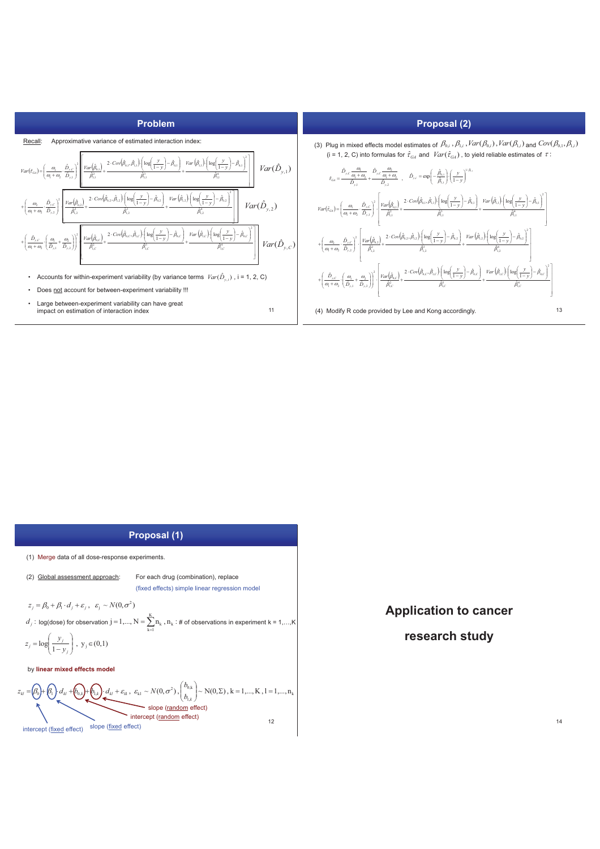

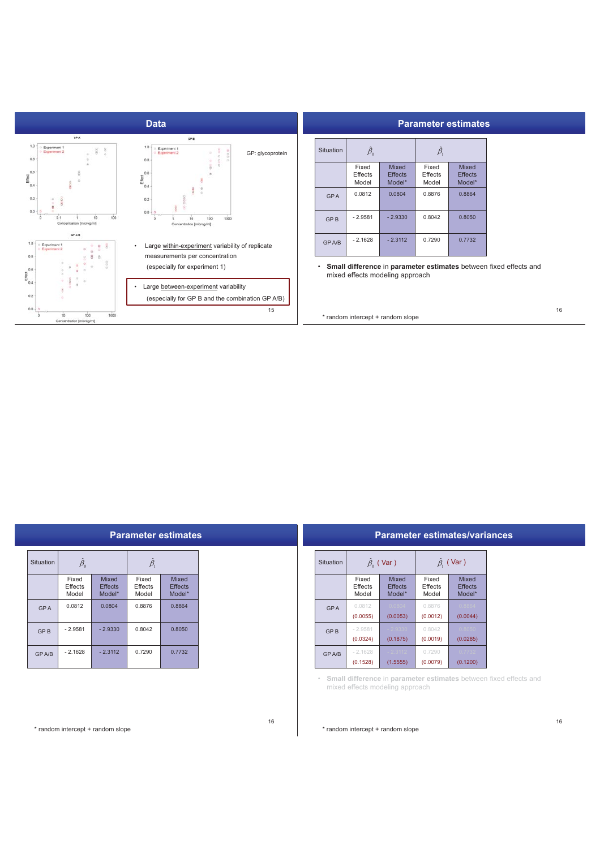

| Parameter estimates |  |  |
|---------------------|--|--|
|                     |  |  |

| Situation  | $\hat{\beta}_{\scriptscriptstyle 0}$ |                                          | $\hat{\beta}_\text{\tiny{l}}$ |                                          |
|------------|--------------------------------------|------------------------------------------|-------------------------------|------------------------------------------|
|            | Fixed<br>Effects<br>Model            | <b>Mixed</b><br><b>Effects</b><br>Model* | Fixed<br>Effects<br>Model     | <b>Mixed</b><br><b>Effects</b><br>Model* |
| <b>GPA</b> | 0.0812                               | 0.0804                                   | 0.8876                        | 0.8864                                   |
| <b>GPB</b> | $-2.9581$                            | $-2.9330$                                | 0.8042                        | 0.8050                                   |
| GP A/B     | $-2.1628$                            | $-2.3112$                                | 0.7290                        | 0.7732                                   |

• **Small difference** in **parameter estimates** between fixed effects and mixed effects modeling approach

\* random intercept + random slope

| Situation  | $\hat{\beta}_{\scriptscriptstyle 0}$ |                                   | $\hat{\beta}_{\text{\tiny{l}}}$ |                                   |
|------------|--------------------------------------|-----------------------------------|---------------------------------|-----------------------------------|
|            | Fixed<br>Effects<br>Model            | Mixed<br><b>Effects</b><br>Model* | Fixed<br>Effects<br>Model       | Mixed<br><b>Effects</b><br>Model* |
| <b>GPA</b> | 0.0812                               | 0.0804                            | 0.8876                          | 0.8864                            |
| <b>GPB</b> | $-2.9581$                            | $-2.9330$                         | 0.8042                          | 0.8050                            |
| GP A/B     | $-2.1628$                            | $-2.3112$                         | 0.7290                          | 0.7732                            |

|            |                           |                                   |                           | <b>Parameter estimates/variances</b> |  |
|------------|---------------------------|-----------------------------------|---------------------------|--------------------------------------|--|
| Situation  |                           | $\hat{\beta}_{0}$ (Var)           |                           | $\hat{\beta}_{\text{i}}$ (Var )      |  |
|            | Fixed<br>Effects<br>Model | Mixed<br><b>Effects</b><br>Model* | Fixed<br>Effects<br>Model | Mixed<br><b>Effects</b><br>Model*    |  |
| <b>GPA</b> | 0.0812<br>(0.0055)        | 0.0804<br>(0.0053)                | 0.8876<br>(0.0012)        | 0.8864<br>(0.0044)                   |  |
| <b>GPB</b> | $-2.9581$<br>(0.0324)     | 2.9330<br>(0.1875)                | 0.8042<br>(0.0019)        | 0.8050<br>(0.0285)                   |  |
| GP A/B     | $-2.1628$<br>(0.1528)     | $-2.3112$<br>(1.5555)             | 0.7290<br>(0.0079)        | 0.7732<br>(0.1200)                   |  |

• **Small difference** in **parameter estimates** between fixed effects and mixed effects modeling approach

\* random intercept + random slope

\* random intercept + random slope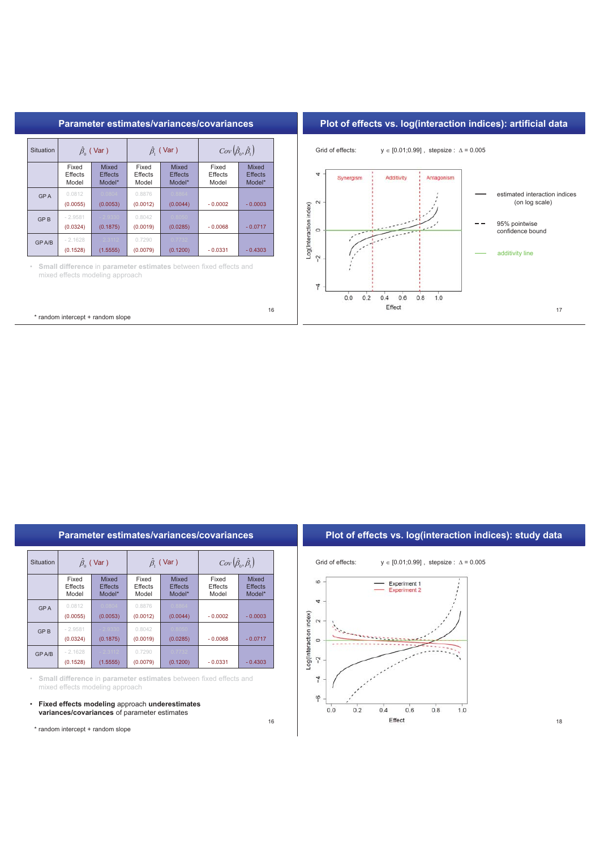

|              |                           |                                              |                           |                                                  | Parameter estimates/variances/covariances                         |                                     | Plot of effects vs. log(interaction indices): study data              |
|--------------|---------------------------|----------------------------------------------|---------------------------|--------------------------------------------------|-------------------------------------------------------------------|-------------------------------------|-----------------------------------------------------------------------|
| Situation    |                           | $\hat{\beta}_{0}$ (Var)                      |                           | $\hat{\beta}_{1}$ (Var)                          |                                                                   | $Cov(\hat{\beta}_0, \hat{\beta}_1)$ | Grid of effects:<br>$y \in [0.01; 0.99]$ , stepsize: $\Delta = 0.005$ |
|              | Fixed<br>Effects<br>Model | <b>Mixed</b><br><b>Effects</b><br>Model*     | Fixed<br>Effects<br>Model | <b>Mixed</b><br><b>Effects</b><br>Model*         | Fixed<br>Effects<br>Model                                         | Mixed<br><b>Effects</b><br>Model*   | $\circ$<br>Experiment 1<br><b>Experiment 2</b>                        |
| <b>GPA</b>   | 0.0812<br>(0.0055)        | 0.0804<br>(0.0053)                           | 0.8876<br>(0.0012)        | 0.8864<br>(0.0044)                               | $-0.0002$                                                         | $-0.0003$                           | 4<br>$\sim$                                                           |
| <b>GPB</b>   | $-2.9581$<br>(0.0324)     | 2.9330<br>(0.1875)                           | 0.8042<br>(0.0019)        | 0.8050<br>(0.0285)                               | $-0.0068$                                                         | $-0.0717$                           | Log(Interaction index)<br>$\circ$                                     |
| <b>GPA/B</b> | $-2.1628$<br>(0.1528)     | 2.3112<br>(1.5555)                           | 0.7290<br>(0.0079)        | 0.7732<br>(0.1200)                               | $-0.0331$                                                         | $-0.4303$                           | $\tilde{\gamma}$                                                      |
|              |                           | mixed effects modeling approach              |                           |                                                  | Small difference in parameter estimates between fixed effects and |                                     | 4                                                                     |
|              |                           | variances/covariances of parameter estimates |                           | • Fixed effects modeling approach underestimates |                                                                   |                                     | φ<br>0.0<br>0.8<br>0.2<br>0.4<br>0.6<br>1.0                           |
|              |                           | * random intercept + random slope            |                           |                                                  |                                                                   | 16                                  | Effect                                                                |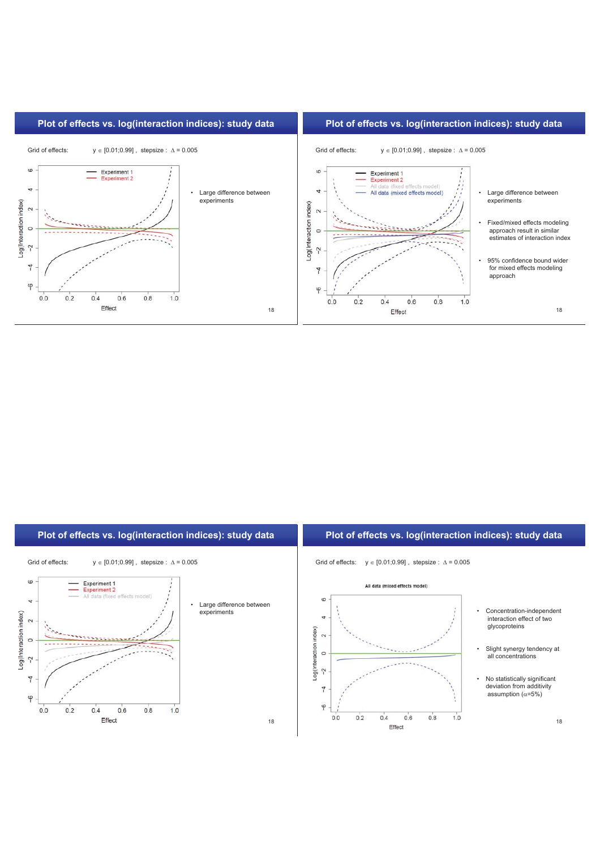